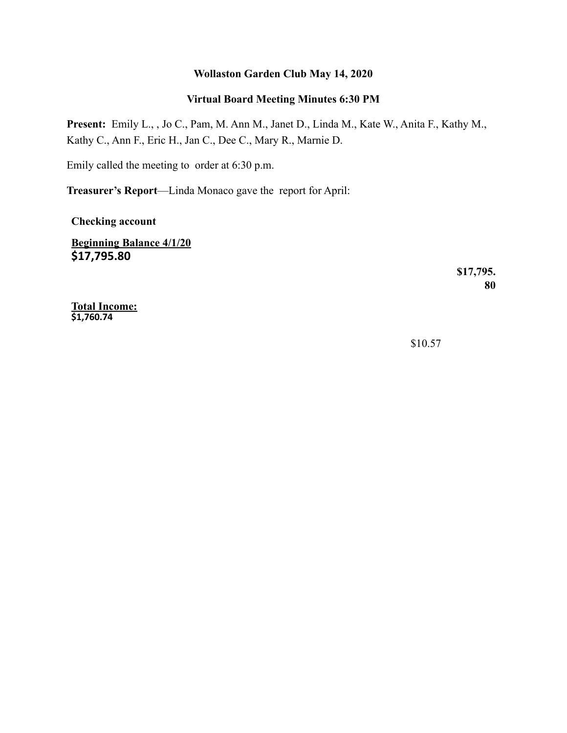#### **Wollaston Garden Club May 14, 2020**

## **Virtual Board Meeting Minutes 6:30 PM**

**Present:** Emily L., , Jo C., Pam, M. Ann M., Janet D., Linda M., Kate W., Anita F., Kathy M., Kathy C., Ann F., Eric H., Jan C., Dee C., Mary R., Marnie D.

Emily called the meeting to order at 6:30 p.m.

**Treasurer's Report**—Linda Monaco gave the report for April:

**Checking account**

**Beginning Balance 4/1/20 \$17,795.80** 

> **\$17,795. 80**

**Total Income: \$1,760.74** 

\$10.57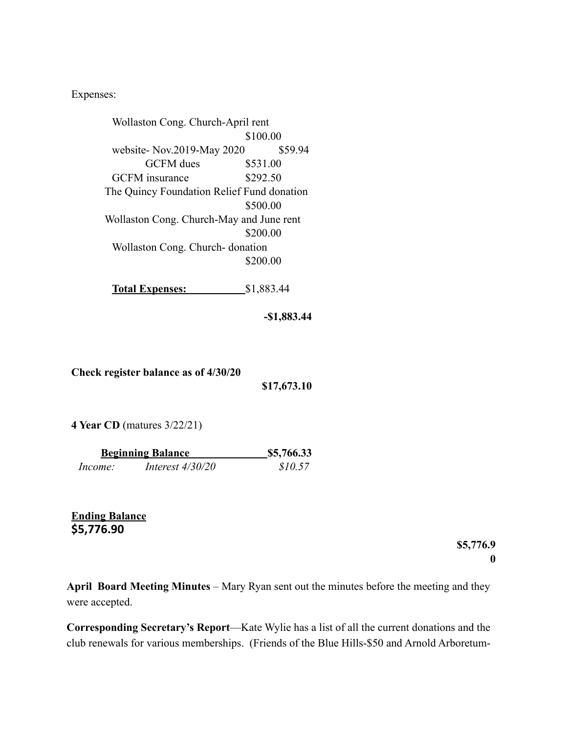Expenses:

| Wollaston Cong. Church-April rent          |            |  |
|--------------------------------------------|------------|--|
|                                            | \$100.00   |  |
| website-Nov.2019-May 2020                  | \$59.94    |  |
| <b>GCFM</b> dues                           | \$531.00   |  |
| <b>GCFM</b> insurance                      | \$292.50   |  |
| The Quincy Foundation Relief Fund donation |            |  |
|                                            | \$500.00   |  |
| Wollaston Cong. Church-May and June rent   |            |  |
|                                            | \$200.00   |  |
| Wollaston Cong. Church-donation            |            |  |
|                                            | \$200.00   |  |
|                                            |            |  |
| <b>Total Expenses:</b>                     | \$1,883.44 |  |
|                                            |            |  |

**-\$1,883.44** 

**Check register balance as of 4/30/20** 

**\$17,673.10** 

**4 Year CD** (matures 3/22/21)

| <b>Beginning Balance</b> |                    | \$5,766.33 |
|--------------------------|--------------------|------------|
| Income:                  | Interest $4/30/20$ | \$10.57    |

**Ending Balance \$5,776.90** 

> **\$5,776.9 0**

**April Board Meeting Minutes** – Mary Ryan sent out the minutes before the meeting and they were accepted.

**Corresponding Secretary's Report**—Kate Wylie has a list of all the current donations and the club renewals for various memberships. (Friends of the Blue Hills-\$50 and Arnold Arboretum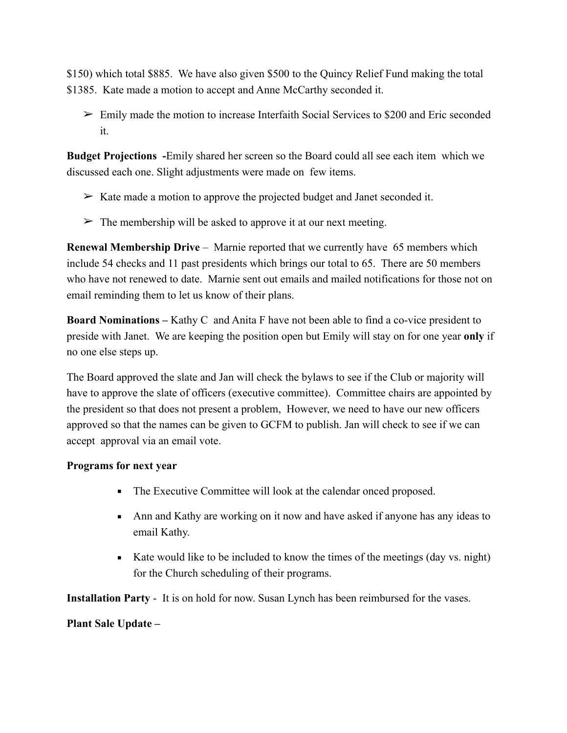\$150) which total \$885. We have also given \$500 to the Quincy Relief Fund making the total \$1385. Kate made a motion to accept and Anne McCarthy seconded it.

 $\geq$  Emily made the motion to increase Interfaith Social Services to \$200 and Eric seconded it.

**Budget Projections -**Emily shared her screen so the Board could all see each item which we discussed each one. Slight adjustments were made on few items.

- $\triangleright$  Kate made a motion to approve the projected budget and Janet seconded it.
- $\triangleright$  The membership will be asked to approve it at our next meeting.

**Renewal Membership Drive** – Marnie reported that we currently have 65 members which include 54 checks and 11 past presidents which brings our total to 65. There are 50 members who have not renewed to date. Marnie sent out emails and mailed notifications for those not on email reminding them to let us know of their plans.

**Board Nominations –** Kathy C and Anita F have not been able to find a co-vice president to preside with Janet. We are keeping the position open but Emily will stay on for one year **only** if no one else steps up.

The Board approved the slate and Jan will check the bylaws to see if the Club or majority will have to approve the slate of officers (executive committee). Committee chairs are appointed by the president so that does not present a problem, However, we need to have our new officers approved so that the names can be given to GCFM to publish. Jan will check to see if we can accept approval via an email vote.

## **Programs for next year**

- The Executive Committee will look at the calendar onced proposed.
- **Ann and Kathy are working on it now and have asked if anyone has any ideas to** email Kathy.
- Kate would like to be included to know the times of the meetings (day vs. night) for the Church scheduling of their programs.

**Installation Party** - It is on hold for now. Susan Lynch has been reimbursed for the vases.

## **Plant Sale Update –**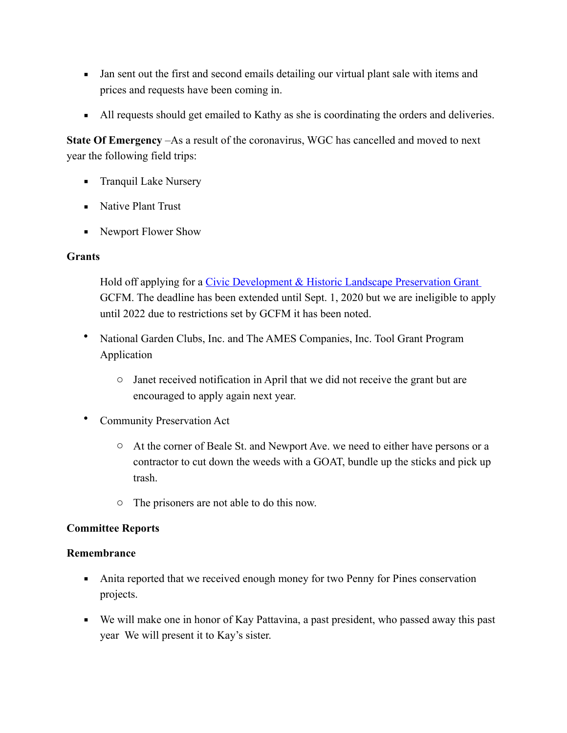- Jan sent out the first and second emails detailing our virtual plant sale with items and prices and requests have been coming in.
- All requests should get emailed to Kathy as she is coordinating the orders and deliveries.

**State Of Emergency** –As a result of the coronavirus, WGC has cancelled and moved to next year the following field trips:

- **•** Tranquil Lake Nursery
- **EXECUTE:** Native Plant Trust
- Newport Flower Show

## **Grants**

Hold off applying for a Civic Development & Historic Landscape Preservation Grant GCFM. The deadline has been extended until Sept. 1, 2020 but we are ineligible to apply until 2022 due to restrictions set by GCFM it has been noted.

- National Garden Clubs, Inc. and The AMES Companies, Inc. Tool Grant Program Application
	- o Janet received notification in April that we did not receive the grant but are encouraged to apply again next year.
- Community Preservation Act
	- o At the corner of Beale St. and Newport Ave. we need to either have persons or a contractor to cut down the weeds with a GOAT, bundle up the sticks and pick up trash.
	- o The prisoners are not able to do this now.

## **Committee Reports**

#### **Remembrance**

- Anita reported that we received enough money for two Penny for Pines conservation projects.
- We will make one in honor of Kay Pattavina, a past president, who passed away this past year We will present it to Kay's sister.